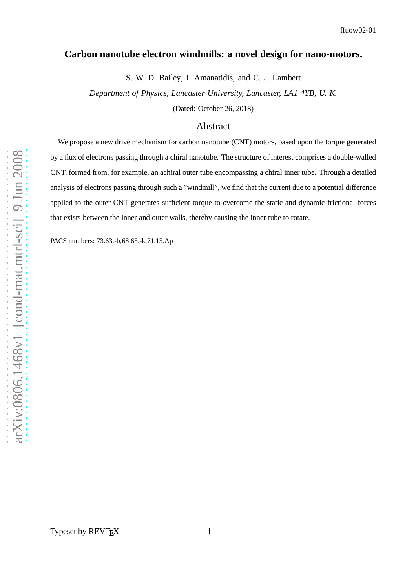## **Carbon nanotube electron windmills: a novel design for nano-motors.**

S. W. D. Bailey, I. Amanatidis, and C. J. Lambert

*Department of Physics, Lancaster University, Lancaster, LA1 4YB, U. K.*

(Dated: October 26, 2018)

## Abstract

We propose a new drive mechanism for carbon nanotube (CNT) motors, based upon the torque generated by a flux of electrons passing through a chiral nanotube. The structure of interest comprises a double-walled CNT, formed from, for example, an achiral outer tube encompassing a chiral inner tube. Through a detailed analysis of electrons passing through such a "windmill", we find that the current due to a potential difference applied to the outer CNT generates sufficient torque to overcome the static and dynamic frictional forces that exists between the inner and outer walls, thereby causing the inner tube to rotate.

PACS numbers: 73.63.-b,68.65.-k,71.15.Ap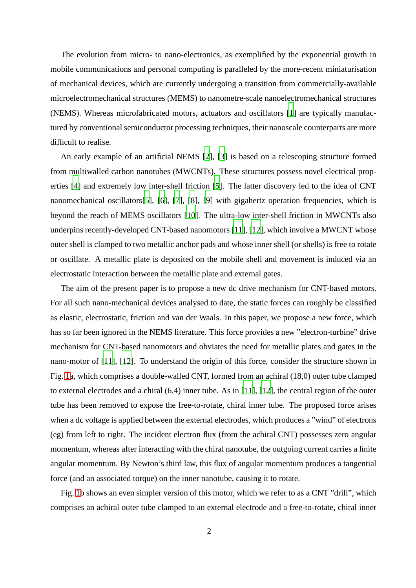The evolution from micro- to nano-electronics, as exemplified by the exponential growth in mobile communications and personal computing is paralleled by the more-recent miniaturisation of mechanical devices, which are currently undergoing a transition from commercially-available microelectromechanical structures (MEMS) to nanometre-scale nanoelectromechanical structures (NEMS). Whereas microfabricated motors, actuators and oscillators [\[1\]](#page-9-0) are typically manufactured by conventional semiconductor processing techniques, their nanoscale counterparts are more difficult to realise.

An early example of an artificial NEMS [\[2\]](#page-9-1), [\[3](#page-9-2)] is based on a telescoping structure formed from multiwalled carbon nanotubes (MWCNTs). These structures possess novel electrical properties [\[4\]](#page-9-3) and extremely low inter-shell friction [\[5\]](#page-9-4). The latter discovery led to the idea of CNT nanomechanical oscillators[\[5](#page-9-4)], [\[6](#page-9-5)], [\[7\]](#page-9-6), [\[8\]](#page-9-7), [\[9\]](#page-9-8) with gigahertz operation frequencies, which is beyond the reach of MEMS oscillators [\[10](#page-9-9)]. The ultra-low inter-shell friction in MWCNTs also underpins recently-developed CNT-based nanomotors [\[11\]](#page-9-10), [\[12](#page-9-11)], which involve a MWCNT whose outer shell is clamped to two metallic anchor pads and whose inner shell (or shells) is free to rotate or oscillate. A metallic plate is deposited on the mobile shell and movement is induced via an electrostatic interaction between the metallic plate and external gates.

The aim of the present paper is to propose a new dc drive mechanism for CNT-based motors. For all such nano-mechanical devices analysed to date, the static forces can roughly be classified as elastic, electrostatic, friction and van der Waals. In this paper, we propose a new force, which has so far been ignored in the NEMS literature. This force provides a new "electron-turbine" drive mechanism for CNT-based nanomotors and obviates the need for metallic plates and gates in the nano-motor of [\[11\]](#page-9-10), [\[12](#page-9-11)]. To understand the origin of this force, consider the structure shown in Fig. [1a](#page-2-0), which comprises a double-walled CNT, formed from an achiral (18,0) outer tube clamped to external electrodes and a chiral (6,4) inner tube. As in [\[11\]](#page-9-10), [\[12\]](#page-9-11), the central region of the outer tube has been removed to expose the free-to-rotate, chiral inner tube. The proposed force arises when a dc voltage is applied between the external electrodes, which produces a "wind" of electrons (eg) from left to right. The incident electron flux (from the achiral CNT) possesses zero angular momentum, whereas after interacting with the chiral nanotube, the outgoing current carries a finite angular momentum. By Newton's third law, this flux of angular momentum produces a tangential force (and an associated torque) on the inner nanotube, causing it to rotate.

Fig. [1b](#page-2-0) shows an even simpler version of this motor, which we refer to as a CNT "drill", which comprises an achiral outer tube clamped to an external electrode and a free-to-rotate, chiral inner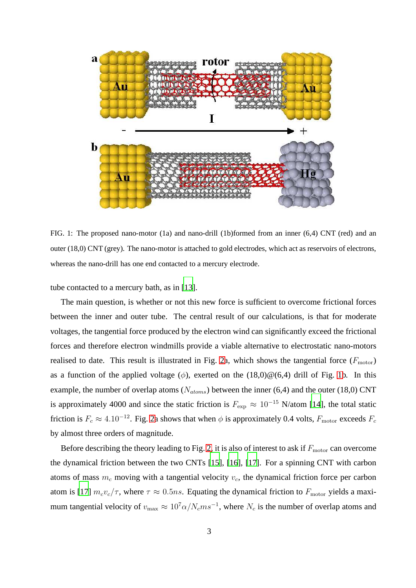

<span id="page-2-0"></span>FIG. 1: The proposed nano-motor (1a) and nano-drill (1b)formed from an inner (6,4) CNT (red) and an outer (18,0) CNT (grey). The nano-motor is attached to gold electrodes, which act as reservoirs of electrons, whereas the nano-drill has one end contacted to a mercury electrode.

tube contacted to a mercury bath, as in [\[13\]](#page-9-12).

The main question, is whether or not this new force is sufficient to overcome frictional forces between the inner and outer tube. The central result of our calculations, is that for moderate voltages, the tangential force produced by the electron wind can significantly exceed the frictional forces and therefore electron windmills provide a viable alternative to electrostatic nano-motors realised to date. This result is illustrated in Fig. [2a](#page-3-0), which shows the tangential force  $(F_{\text{motor}})$ as a function of the applied voltage ( $\phi$ ), exerted on the (18,0) $\mathcal{Q}(6,4)$  drill of Fig. [1b](#page-2-0). In this example, the number of overlap atoms ( $N_{atoms}$ ) between the inner (6,4) and the outer (18,0) CNT is approximately 4000 and since the static friction is  $F_{\rm exp} \approx 10^{-15}$  N/atom [\[14\]](#page-9-13), the total static friction is  $F_c \approx 4.10^{-12}$ . Fig. [2a](#page-3-0) shows that when  $\phi$  is approximately 0.4 volts,  $F_{\text{motor}}$  exceeds  $F_c$ by almost three orders of magnitude.

Before describing the theory leading to Fig. [2,](#page-3-0) it is also of interest to ask if  $F_{\text{motor}}$  can overcome the dynamical friction between the two CNTs [\[15\]](#page-9-14), [\[16](#page-9-15)], [\[17\]](#page-9-16). For a spinning CNT with carbon atoms of mass  $m_c$  moving with a tangential velocity  $v_c$ , the dynamical friction force per carbon atom is [\[17](#page-9-16)]  $m_c v_c / \tau$ , where  $\tau \approx 0.5$ ns. Equating the dynamical friction to  $F_{\rm motor}$  yields a maximum tangential velocity of  $v_{\text{max}} \approx 10^7 \alpha / N_c m s^{-1}$ , where  $N_c$  is the number of overlap atoms and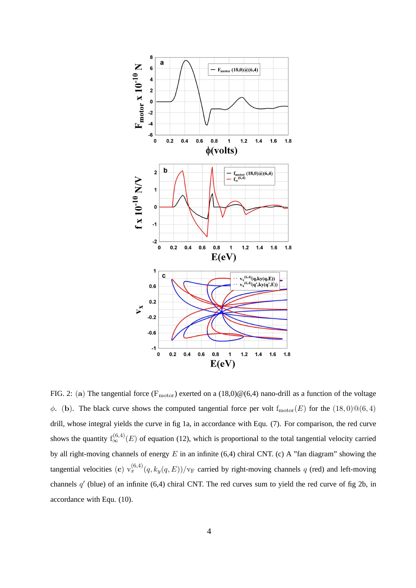

<span id="page-3-0"></span>FIG. 2: (a) The tangential force ( $F_{\text{motor}}$ ) exerted on a (18,0) $@(6,4)$  nano-drill as a function of the voltage  $\phi$ . (b). The black curve shows the computed tangential force per volt f<sub>motor</sub>(E) for the (18,0) $@(6,4)$ drill, whose integral yields the curve in fig 1a, in accordance with Equ. (7). For comparison, the red curve shows the quantity  $f_{\infty}^{(6,4)}(E)$  of equation (12), which is proportional to the total tangential velocity carried by all right-moving channels of energy  $E$  in an infinite (6,4) chiral CNT. (c) A "fan diagram" showing the tangential velocities (c)  $v_x^{(6,4)}(q, k_y(q, E))/v_F$  carried by right-moving channels q (red) and left-moving channels  $q'$  (blue) of an infinite (6,4) chiral CNT. The red curves sum to yield the red curve of fig 2b, in accordance with Equ. (10).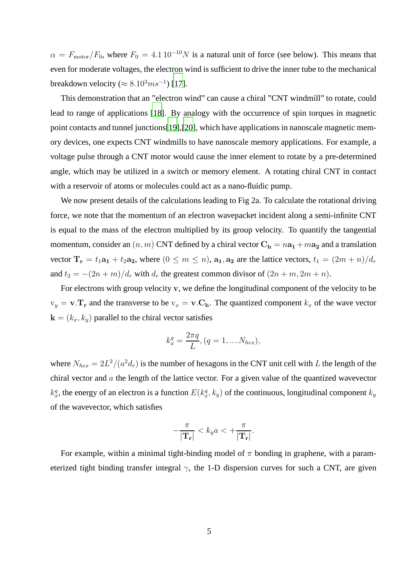$\alpha = F_{\text{motor}}/F_0$ , where  $F_0 = 4.1 10^{-10} N$  is a natural unit of force (see below). This means that even for moderate voltages, the electron wind is sufficient to drive the inner tube to the mechanical breakdown velocity ( $\approx 8.10^3 m s^{-1}$ ) [\[17](#page-9-16)].

This demonstration that an "electron wind" can cause a chiral "CNT windmill" to rotate, could lead to range of applications [\[18](#page-9-17)]. By analogy with the occurrence of spin torques in magnetic point contacts and tunnel junctions[\[19\]](#page-9-18),[\[20\]](#page-9-19), which have applications in nanoscale magnetic memory devices, one expects CNT windmills to have nanoscale memory applications. For example, a voltage pulse through a CNT motor would cause the inner element to rotate by a pre-determined angle, which may be utilized in a switch or memory element. A rotating chiral CNT in contact with a reservoir of atoms or molecules could act as a nano-fluidic pump.

We now present details of the calculations leading to Fig 2a. To calculate the rotational driving force, we note that the momentum of an electron wavepacket incident along a semi-infinite CNT is equal to the mass of the electron multiplied by its group velocity. To quantify the tangential momentum, consider an  $(n, m)$  CNT defined by a chiral vector  $C_h = na_1 +ma_2$  and a translation vector  $T_r = t_1a_1 + t_2a_2$ , where  $(0 \le m \le n)$ ,  $a_1, a_2$  are the lattice vectors,  $t_1 = (2m + n)/d_r$ and  $t_2 = -(2n+m)/d_r$  with  $d_r$  the greatest common divisor of  $(2n+m, 2m+n)$ .

For electrons with group velocity v, we define the longitudinal component of the velocity to be  $v_y = v \cdot T_r$  and the transverse to be  $v_x = v \cdot C_h$ . The quantized component  $k_x$  of the wave vector  $\mathbf{k} = (k_x, k_y)$  parallel to the chiral vector satisfies

$$
k_x^q = \frac{2\pi q}{L}, (q = 1, ....N_{hex}),
$$

where  $N_{hex} = 2L^2/(a^2d_r)$  is the number of hexagons in the CNT unit cell with L the length of the chiral vector and  $\alpha$  the length of the lattice vector. For a given value of the quantized wavevector  $k_x^q$ , the energy of an electron is a function  $E(k_x^q, k_y)$  of the continuous, longitudinal component  $k_y$ of the wavevector, which satisfies

$$
-\frac{\pi}{|\mathbf{T_r}|} < k_y a < +\frac{\pi}{|\mathbf{T_r}|}.
$$

For example, within a minimal tight-binding model of  $\pi$  bonding in graphene, with a parameterized tight binding transfer integral  $\gamma$ , the 1-D dispersion curves for such a CNT, are given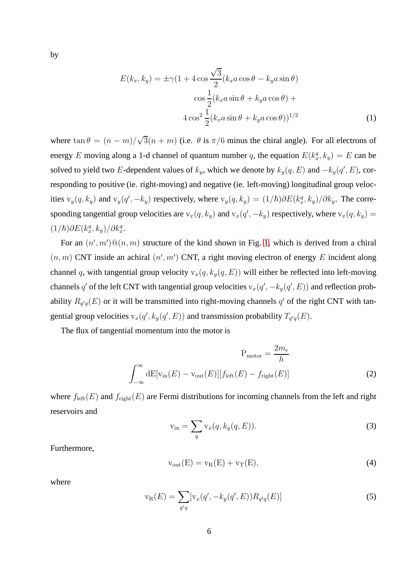by

$$
E(k_x, k_y) = \pm \gamma (1 + 4 \cos \frac{\sqrt{3}}{2} (k_x a \cos \theta - k_y a \sin \theta)
$$

$$
\cos \frac{1}{2} (k_x a \sin \theta + k_y a \cos \theta) +
$$

$$
4 \cos^2 \frac{1}{2} (k_x a \sin \theta + k_y a \cos \theta))^{1/2}
$$
(1)

where  $\tan \theta = (n - m)/\sqrt{3}(n + m)$  (i.e.  $\theta$  is  $\pi/6$  minus the chiral angle). For all electrons of energy E moving along a 1-d channel of quantum number q, the equation  $E(k_x^q, k_y) = E$  can be solved to yield two E-dependent values of  $k_y$ , which we denote by  $k_y(q, E)$  and  $-k_y(q', E)$ , corresponding to positive (ie. right-moving) and negative (ie. left-moving) longitudinal group velocities  $v_y(q, k_y)$  and  $v_y(q', -k_y)$  respectively, where  $v_y(q, k_y) = (1/\hbar)\partial E(k_x^q, k_y)/\partial k_y$ . The corresponding tangential group velocities are  $v_x(q, k_y)$  and  $v_x(q', -k_y)$  respectively, where  $v_x(q, k_y)$  =  $(1/\hbar)\partial E(k_x^q, k_y)/\partial k_x^q$ .

For an  $(n', m') \mathcal{Q}(n, m)$  structure of the kind shown in Fig. [1,](#page-2-0) which is derived from a chiral  $(n, m)$  CNT inside an achiral  $(n', m')$  CNT, a right moving electron of energy E incident along channel q, with tangential group velocity  $v_x(q, k_y(q, E))$  will either be reflected into left-moving channels q' of the left CNT with tangential group velocities  $v_x(q', -k_y(q', E))$  and reflection probability  $R_{q'q}(E)$  or it will be transmitted into right-moving channels  $q'$  of the right CNT with tangential group velocities  $v_x(q', k_y(q', E))$  and transmission probability  $T_{q'q}(E)$ .

The flux of tangential momentum into the motor is

$$
P_{\text{motor}} = \frac{2m_e}{h}
$$

$$
\int_{-\infty}^{\infty} dE[v_{\text{in}}(E) - v_{\text{out}}(E)][f_{\text{left}}(E) - f_{\text{right}}(E)] \tag{2}
$$

where  $f_{\text{left}}(E)$  and  $f_{\text{right}}(E)$  are Fermi distributions for incoming channels from the left and right reservoirs and

$$
v_{\rm in} = \sum_{q} v_x(q, k_y(q, E)).
$$
\n(3)

Furthermore,

$$
v_{\text{out}}(E) = v_R(E) + v_T(E),\tag{4}
$$

where

$$
v_R(E) = \sum_{q'q} [v_x(q', -k_y(q', E)) R_{q'q}(E)]
$$
\n(5)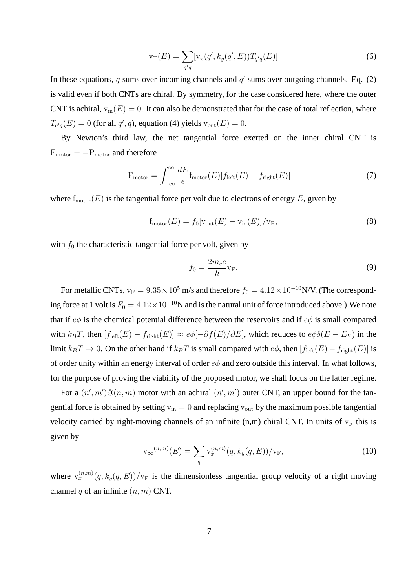$$
v_T(E) = \sum_{q'q} [v_x(q', k_y(q', E)) T_{q'q}(E)]
$$
\n(6)

In these equations, q sums over incoming channels and  $q'$  sums over outgoing channels. Eq. (2) is valid even if both CNTs are chiral. By symmetry, for the case considered here, where the outer CNT is achiral,  $v_{in}(E) = 0$ . It can also be demonstrated that for the case of total reflection, where  $T_{q'q}(E) = 0$  (for all  $q', q$ ), equation (4) yields  $v_{\text{out}}(E) = 0$ .

By Newton's third law, the net tangential force exerted on the inner chiral CNT is  $F_{\rm motor} = -P_{\rm motor}$  and therefore

$$
F_{\text{motor}} = \int_{-\infty}^{\infty} \frac{dE}{e} f_{\text{motor}}(E) [f_{\text{left}}(E) - f_{\text{right}}(E)] \tag{7}
$$

where  $f_{\text{motor}}(E)$  is the tangential force per volt due to electrons of energy E, given by

$$
f_{\text{motor}}(E) = f_0[v_{\text{out}}(E) - v_{\text{in}}(E)]/v_F,
$$
\n(8)

with  $f_0$  the characteristic tangential force per volt, given by

$$
f_0 = \frac{2m_e e}{h} v_F.
$$
 (9)

For metallic CNTs,  $v_F = 9.35 \times 10^5$  m/s and therefore  $f_0 = 4.12 \times 10^{-10}$ N/V. (The corresponding force at 1 volt is  $F_0 = 4.12 \times 10^{-10}$ N and is the natural unit of force introduced above.) We note that if  $e\phi$  is the chemical potential difference between the reservoirs and if  $e\phi$  is small compared with  $k_BT$ , then  $[f_{\text{left}}(E) - f_{\text{right}}(E)] \approx e\phi[-\partial f(E)/\partial E]$ , which reduces to  $e\phi\delta(E - E_F)$  in the limit  $k_BT \to 0$ . On the other hand if  $k_BT$  is small compared with  $e\phi$ , then  $[f_{\text{left}}(E) - f_{\text{right}}(E)]$  is of order unity within an energy interval of order  $e\phi$  and zero outside this interval. In what follows, for the purpose of proving the viability of the proposed motor, we shall focus on the latter regime.

For a  $(n', m') \mathbb{Q}(n, m)$  motor with an achiral  $(n', m')$  outer CNT, an upper bound for the tangential force is obtained by setting  $v_{in} = 0$  and replacing  $v_{out}$  by the maximum possible tangential velocity carried by right-moving channels of an infinite  $(n,m)$  chiral CNT. In units of  $v_F$  this is given by

$$
\mathbf{v}_{\infty}^{(n,m)}(E) = \sum_{q} \mathbf{v}_x^{(n,m)}(q, k_y(q, E)) / \mathbf{v}_F,
$$
\n(10)

where  $v_x^{(n,m)}(q, k_y(q, E))/v_F$  is the dimensionless tangential group velocity of a right moving channel q of an infinite  $(n, m)$  CNT.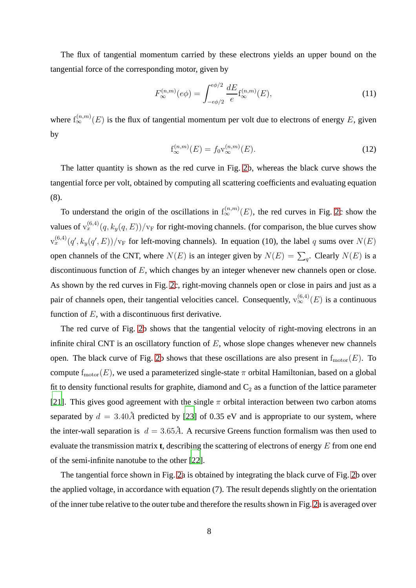The flux of tangential momentum carried by these electrons yields an upper bound on the tangential force of the corresponding motor, given by

$$
F_{\infty}^{(n,m)}(e\phi) = \int_{-e\phi/2}^{e\phi/2} \frac{dE}{e} f_{\infty}^{(n,m)}(E), \tag{11}
$$

where  $f_{\infty}^{(n,m)}(E)$  is the flux of tangential momentum per volt due to electrons of energy E, given by

$$
f_{\infty}^{(n,m)}(E) = f_0 v_{\infty}^{(n,m)}(E). \tag{12}
$$

The latter quantity is shown as the red curve in Fig. [2b](#page-3-0), whereas the black curve shows the tangential force per volt, obtained by computing all scattering coefficients and evaluating equation (8).

To understand the origin of the oscillations in  $f_{\infty}^{(n,m)}(E)$ , the red curves in Fig. [2c](#page-3-0) show the values of  $v_x^{(6,4)}(q, k_y(q, E))/v_F$  for right-moving channels. (for comparison, the blue curves show  $\mathbf{v}_x^{(6,4)}(q', k_y(q', E))/\mathbf{v}_F$  for left-moving channels). In equation (10), the label q sums over  $N(E)$ open channels of the CNT, where  $N(E)$  is an integer given by  $N(E) = \sum_q$ . Clearly  $N(E)$  is a discontinuous function of E, which changes by an integer whenever new channels open or close. As shown by the red curves in Fig. [2c](#page-3-0), right-moving channels open or close in pairs and just as a pair of channels open, their tangential velocities cancel. Consequently,  $v_{\infty}^{(6,4)}(E)$  is a continuous function of  $E$ , with a discontinuous first derivative.

The red curve of Fig. [2b](#page-3-0) shows that the tangential velocity of right-moving electrons in an infinite chiral CNT is an oscillatory function of  $E$ , whose slope changes whenever new channels open. The black curve of Fig. [2b](#page-3-0) shows that these oscillations are also present in  $f_{\text{motor}}(E)$ . To compute  $f_{\text{motor}}(E)$ , we used a parameterized single-state  $\pi$  orbital Hamiltonian, based on a global fit to density functional results for graphite, diamond and  $C_2$  as a function of the lattice parameter [\[21\]](#page-9-20). This gives good agreement with the single  $\pi$  orbital interaction between two carbon atoms separated by  $d = 3.40\text{\AA}$  predicted by [\[23\]](#page-9-21) of 0.35 eV and is appropriate to our system, where the inter-wall separation is  $d = 3.65\AA$ . A recursive Greens function formalism was then used to evaluate the transmission matrix **t**, describing the scattering of electrons of energy E from one end of the semi-infinite nanotube to the other [\[22](#page-9-22)].

The tangential force shown in Fig. [2a](#page-3-0) is obtained by integrating the black curve of Fig. [2b](#page-3-0) over the applied voltage, in accordance with equation (7). The result depends slightly on the orientation of the inner tube relative to the outer tube and therefore the results shown in Fig. [2a](#page-3-0) is averaged over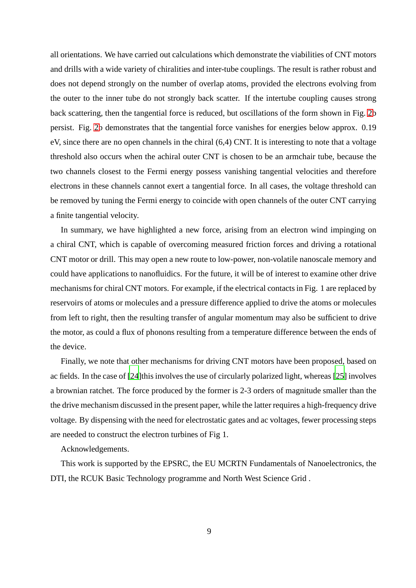all orientations. We have carried out calculations which demonstrate the viabilities of CNT motors and drills with a wide variety of chiralities and inter-tube couplings. The result is rather robust and does not depend strongly on the number of overlap atoms, provided the electrons evolving from the outer to the inner tube do not strongly back scatter. If the intertube coupling causes strong back scattering, then the tangential force is reduced, but oscillations of the form shown in Fig. [2b](#page-3-0) persist. Fig. [2b](#page-3-0) demonstrates that the tangential force vanishes for energies below approx. 0.19 eV, since there are no open channels in the chiral (6,4) CNT. It is interesting to note that a voltage threshold also occurs when the achiral outer CNT is chosen to be an armchair tube, because the two channels closest to the Fermi energy possess vanishing tangential velocities and therefore electrons in these channels cannot exert a tangential force. In all cases, the voltage threshold can be removed by tuning the Fermi energy to coincide with open channels of the outer CNT carrying a finite tangential velocity.

In summary, we have highlighted a new force, arising from an electron wind impinging on a chiral CNT, which is capable of overcoming measured friction forces and driving a rotational CNT motor or drill. This may open a new route to low-power, non-volatile nanoscale memory and could have applications to nanofluidics. For the future, it will be of interest to examine other drive mechanisms for chiral CNT motors. For example, if the electrical contacts in Fig. 1 are replaced by reservoirs of atoms or molecules and a pressure difference applied to drive the atoms or molecules from left to right, then the resulting transfer of angular momentum may also be sufficient to drive the motor, as could a flux of phonons resulting from a temperature difference between the ends of the device.

Finally, we note that other mechanisms for driving CNT motors have been proposed, based on ac fields. In the case of [\[24](#page-9-23)]this involves the use of circularly polarized light, whereas [\[25](#page-9-24)] involves a brownian ratchet. The force produced by the former is 2-3 orders of magnitude smaller than the the drive mechanism discussed in the present paper, while the latter requires a high-frequency drive voltage. By dispensing with the need for electrostatic gates and ac voltages, fewer processing steps are needed to construct the electron turbines of Fig 1.

Acknowledgements.

This work is supported by the EPSRC, the EU MCRTN Fundamentals of Nanoelectronics, the DTI, the RCUK Basic Technology programme and North West Science Grid .